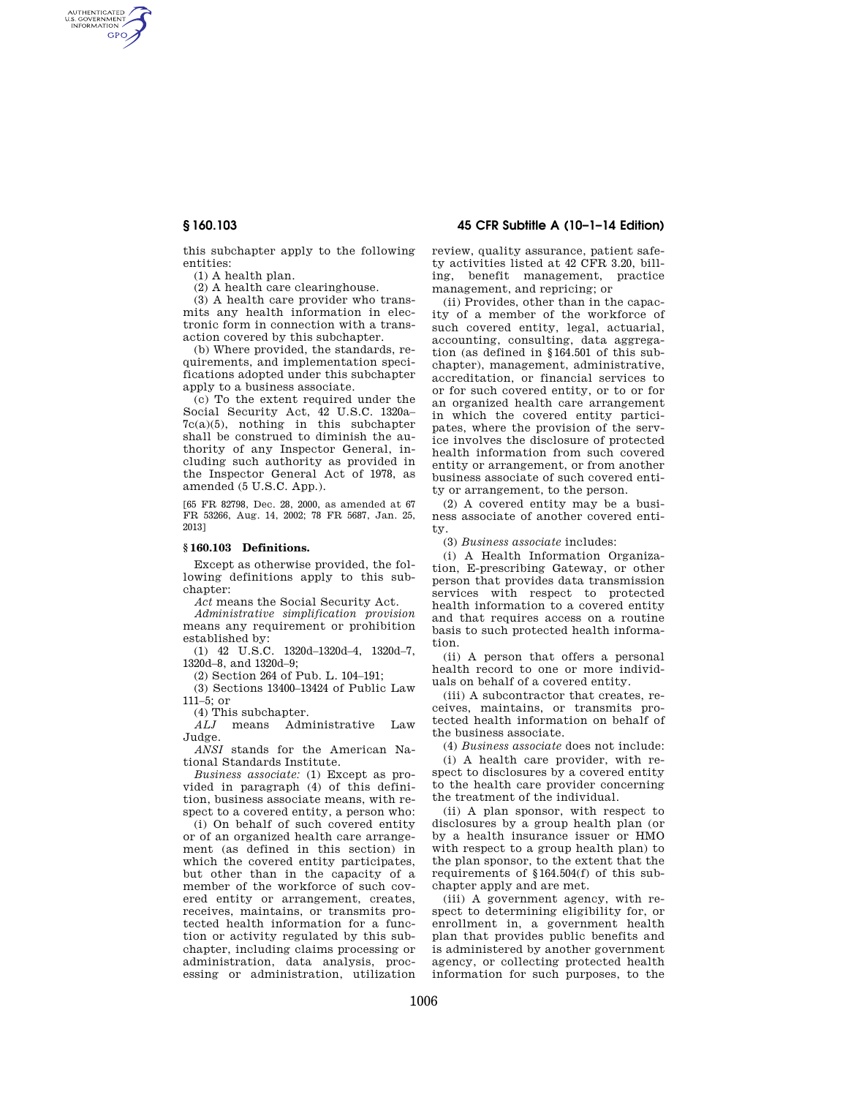AUTHENTICATED<br>U.S. GOVERNMENT<br>INFORMATION **GPO** 

**§ 160.103 45 CFR Subtitle A (10–1–14 Edition)** 

this subchapter apply to the following entities:

(1) A health plan.

(2) A health care clearinghouse.

(3) A health care provider who transmits any health information in electronic form in connection with a transaction covered by this subchapter.

(b) Where provided, the standards, requirements, and implementation specifications adopted under this subchapter apply to a business associate.

(c) To the extent required under the Social Security Act, 42 U.S.C. 1320a–  $7c(a)(5)$ , nothing in this subchapter shall be construed to diminish the authority of any Inspector General, including such authority as provided in the Inspector General Act of 1978, as amended (5 U.S.C. App.).

[65 FR 82798, Dec. 28, 2000, as amended at 67 FR 53266, Aug. 14, 2002; 78 FR 5687, Jan. 25, 2013]

### **§ 160.103 Definitions.**

Except as otherwise provided, the following definitions apply to this subchapter:

*Act* means the Social Security Act.

*Administrative simplification provision*  means any requirement or prohibition established by:<br>(1)  $42$  U.S.C.

(1) 42 U.S.C. 1320d–1320d–4, 1320d–7, 1320d–8, and 1320d–9;

(2) Section 264 of Pub. L. 104–191;

(3) Sections 13400–13424 of Public Law 111–5; or

(4) This subchapter.

*ALJ* means Administrative Law Judge.

*ANSI* stands for the American National Standards Institute.

*Business associate:* (1) Except as provided in paragraph (4) of this definition, business associate means, with respect to a covered entity, a person who:

(i) On behalf of such covered entity or of an organized health care arrangement (as defined in this section) in which the covered entity participates, but other than in the capacity of a member of the workforce of such covered entity or arrangement, creates, receives, maintains, or transmits protected health information for a function or activity regulated by this subchapter, including claims processing or administration, data analysis, processing or administration, utilization review, quality assurance, patient safety activities listed at 42 CFR 3.20, billing, benefit management, practice management, and repricing; or

(ii) Provides, other than in the capacity of a member of the workforce of such covered entity, legal, actuarial, accounting, consulting, data aggregation (as defined in §164.501 of this subchapter), management, administrative, accreditation, or financial services to or for such covered entity, or to or for an organized health care arrangement in which the covered entity participates, where the provision of the service involves the disclosure of protected health information from such covered entity or arrangement, or from another business associate of such covered entity or arrangement, to the person.

(2) A covered entity may be a business associate of another covered entity.

(3) *Business associate* includes:

(i) A Health Information Organization, E-prescribing Gateway, or other person that provides data transmission services with respect to protected health information to a covered entity and that requires access on a routine basis to such protected health information.

(ii) A person that offers a personal health record to one or more individuals on behalf of a covered entity.

(iii) A subcontractor that creates, receives, maintains, or transmits protected health information on behalf of the business associate.

(4) *Business associate* does not include:

(i) A health care provider, with respect to disclosures by a covered entity to the health care provider concerning the treatment of the individual.

(ii) A plan sponsor, with respect to disclosures by a group health plan (or by a health insurance issuer or HMO with respect to a group health plan) to the plan sponsor, to the extent that the requirements of §164.504(f) of this subchapter apply and are met.

(iii) A government agency, with respect to determining eligibility for, or enrollment in, a government health plan that provides public benefits and is administered by another government agency, or collecting protected health information for such purposes, to the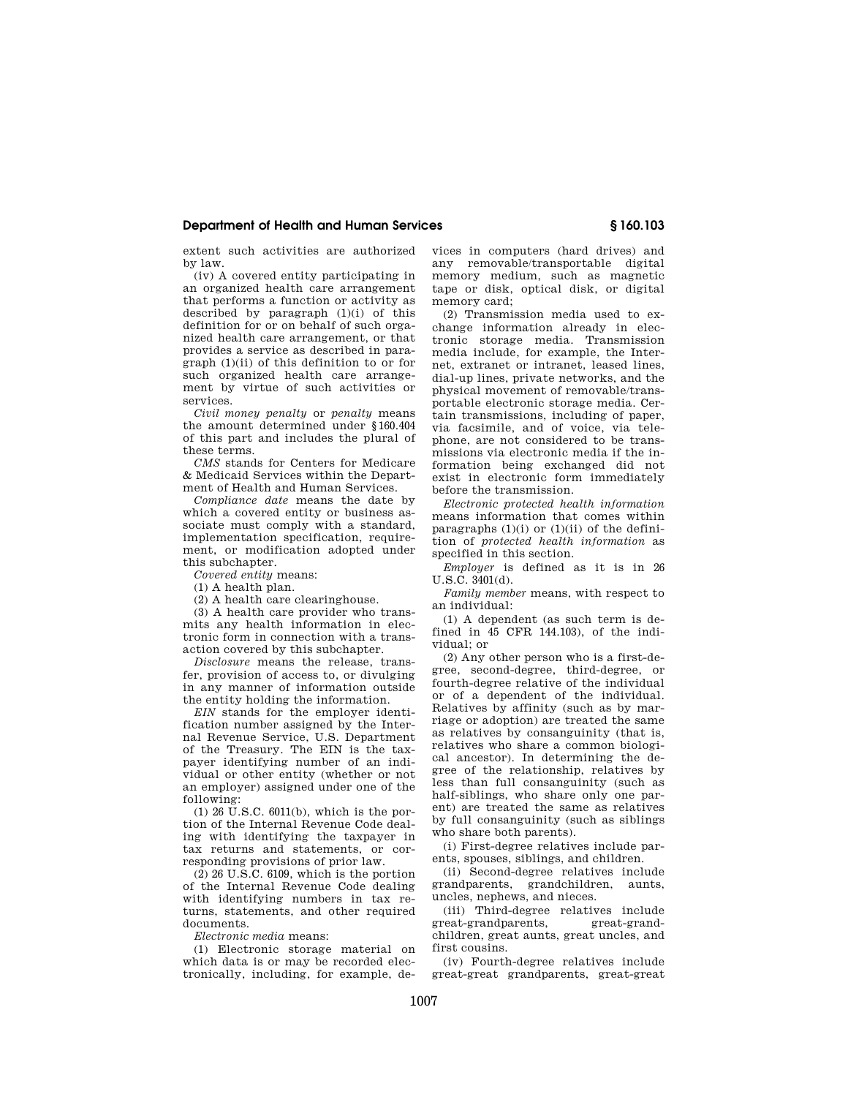# **Department of Health and Human Services § 160.103**

extent such activities are authorized by law.

(iv) A covered entity participating in an organized health care arrangement that performs a function or activity as described by paragraph  $(1)(i)$  of this definition for or on behalf of such organized health care arrangement, or that provides a service as described in paragraph (1)(ii) of this definition to or for such organized health care arrangement by virtue of such activities or services.

*Civil money penalty* or *penalty* means the amount determined under §160.404 of this part and includes the plural of these terms.

*CMS* stands for Centers for Medicare & Medicaid Services within the Department of Health and Human Services.

*Compliance date* means the date by which a covered entity or business associate must comply with a standard, implementation specification, requirement, or modification adopted under this subchapter.

*Covered entity* means:

(1) A health plan.

(2) A health care clearinghouse.

(3) A health care provider who transmits any health information in electronic form in connection with a transaction covered by this subchapter.

*Disclosure* means the release, transfer, provision of access to, or divulging in any manner of information outside the entity holding the information.

*EIN* stands for the employer identification number assigned by the Internal Revenue Service, U.S. Department of the Treasury. The EIN is the taxpayer identifying number of an individual or other entity (whether or not an employer) assigned under one of the following:

(1) 26 U.S.C. 6011(b), which is the portion of the Internal Revenue Code dealing with identifying the taxpayer in tax returns and statements, or corresponding provisions of prior law.

(2) 26 U.S.C. 6109, which is the portion of the Internal Revenue Code dealing with identifying numbers in tax returns, statements, and other required documents.

*Electronic media* means:

(1) Electronic storage material on which data is or may be recorded electronically, including, for example, devices in computers (hard drives) and any removable/transportable digital memory medium, such as magnetic tape or disk, optical disk, or digital memory card;

(2) Transmission media used to exchange information already in electronic storage media. Transmission media include, for example, the Internet, extranet or intranet, leased lines, dial-up lines, private networks, and the physical movement of removable/transportable electronic storage media. Certain transmissions, including of paper, via facsimile, and of voice, via telephone, are not considered to be transmissions via electronic media if the information being exchanged did not exist in electronic form immediately before the transmission.

*Electronic protected health information*  means information that comes within paragraphs  $(1)(i)$  or  $(1)(ii)$  of the definition of *protected health information* as specified in this section.

*Employer* is defined as it is in 26 U.S.C. 3401(d).

*Family member* means, with respect to an individual:

(1) A dependent (as such term is defined in 45 CFR 144.103), of the individual; or

(2) Any other person who is a first-degree, second-degree, third-degree, or fourth-degree relative of the individual or of a dependent of the individual. Relatives by affinity (such as by marriage or adoption) are treated the same as relatives by consanguinity (that is, relatives who share a common biological ancestor). In determining the degree of the relationship, relatives by less than full consanguinity (such as half-siblings, who share only one parent) are treated the same as relatives by full consanguinity (such as siblings who share both parents).

(i) First-degree relatives include parents, spouses, siblings, and children.

(ii) Second-degree relatives include grandparents, grandchildren, aunts, uncles, nephews, and nieces.

(iii) Third-degree relatives include great-grandparents, great-grandchildren, great aunts, great uncles, and first cousins.

(iv) Fourth-degree relatives include great-great grandparents, great-great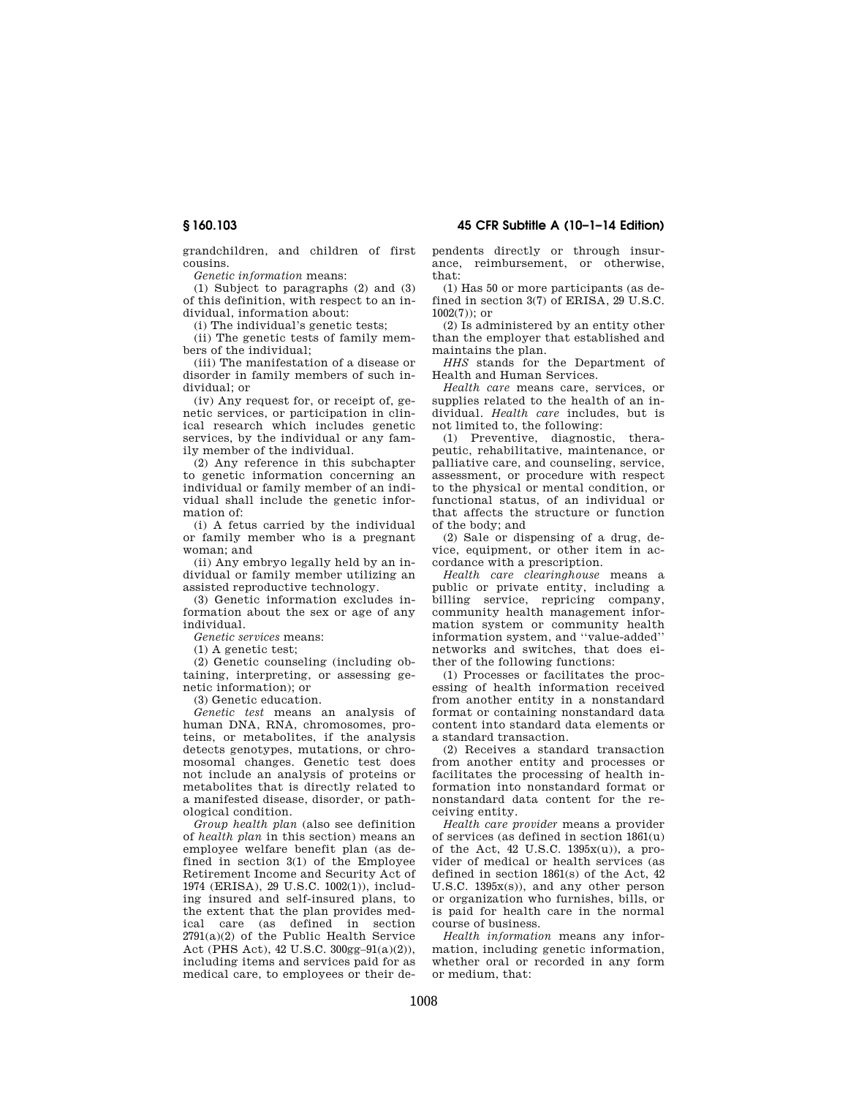**§ 160.103 45 CFR Subtitle A (10–1–14 Edition)** 

grandchildren, and children of first cousins.

*Genetic information* means:

(1) Subject to paragraphs (2) and (3) of this definition, with respect to an individual, information about:

(i) The individual's genetic tests;

(ii) The genetic tests of family members of the individual;

(iii) The manifestation of a disease or disorder in family members of such individual; or

(iv) Any request for, or receipt of, genetic services, or participation in clinical research which includes genetic services, by the individual or any family member of the individual.

(2) Any reference in this subchapter to genetic information concerning an individual or family member of an individual shall include the genetic information of:

(i) A fetus carried by the individual or family member who is a pregnant woman; and

(ii) Any embryo legally held by an individual or family member utilizing an assisted reproductive technology.

(3) Genetic information excludes information about the sex or age of any individual.

*Genetic services* means:

(1) A genetic test;

(2) Genetic counseling (including obtaining, interpreting, or assessing genetic information); or

(3) Genetic education.

*Genetic test* means an analysis of human DNA, RNA, chromosomes, proteins, or metabolites, if the analysis detects genotypes, mutations, or chromosomal changes. Genetic test does not include an analysis of proteins or metabolites that is directly related to a manifested disease, disorder, or pathological condition.

*Group health plan* (also see definition of *health plan* in this section) means an employee welfare benefit plan (as defined in section 3(1) of the Employee Retirement Income and Security Act of 1974 (ERISA), 29 U.S.C. 1002(1)), including insured and self-insured plans, to the extent that the plan provides medical care (as defined in section  $2791(a)(2)$  of the Public Health Service Act (PHS Act), 42 U.S.C. 300gg–91(a)(2)), including items and services paid for as medical care, to employees or their dependents directly or through insurance, reimbursement, or otherwise, that:

(1) Has 50 or more participants (as defined in section 3(7) of ERISA, 29 U.S.C.  $1002(7)$ ); or

(2) Is administered by an entity other than the employer that established and maintains the plan.

*HHS* stands for the Department of Health and Human Services.

*Health care* means care, services, or supplies related to the health of an individual. *Health care* includes, but is not limited to, the following:

(1) Preventive, diagnostic, therapeutic, rehabilitative, maintenance, or palliative care, and counseling, service, assessment, or procedure with respect to the physical or mental condition, or functional status, of an individual or that affects the structure or function of the body; and

(2) Sale or dispensing of a drug, device, equipment, or other item in accordance with a prescription.

*Health care clearinghouse* means a public or private entity, including a billing service, repricing company, community health management information system or community health information system, and ''value-added'' networks and switches, that does either of the following functions:

(1) Processes or facilitates the processing of health information received from another entity in a nonstandard format or containing nonstandard data content into standard data elements or a standard transaction.

(2) Receives a standard transaction from another entity and processes or facilitates the processing of health information into nonstandard format or nonstandard data content for the receiving entity.

*Health care provider* means a provider of services (as defined in section 1861(u) of the Act,  $42$  U.S.C.  $1395x(u)$ , a provider of medical or health services (as defined in section 1861(s) of the Act, 42 U.S.C. 1395x(s)), and any other person or organization who furnishes, bills, or is paid for health care in the normal course of business.

*Health information* means any information, including genetic information, whether oral or recorded in any form or medium, that: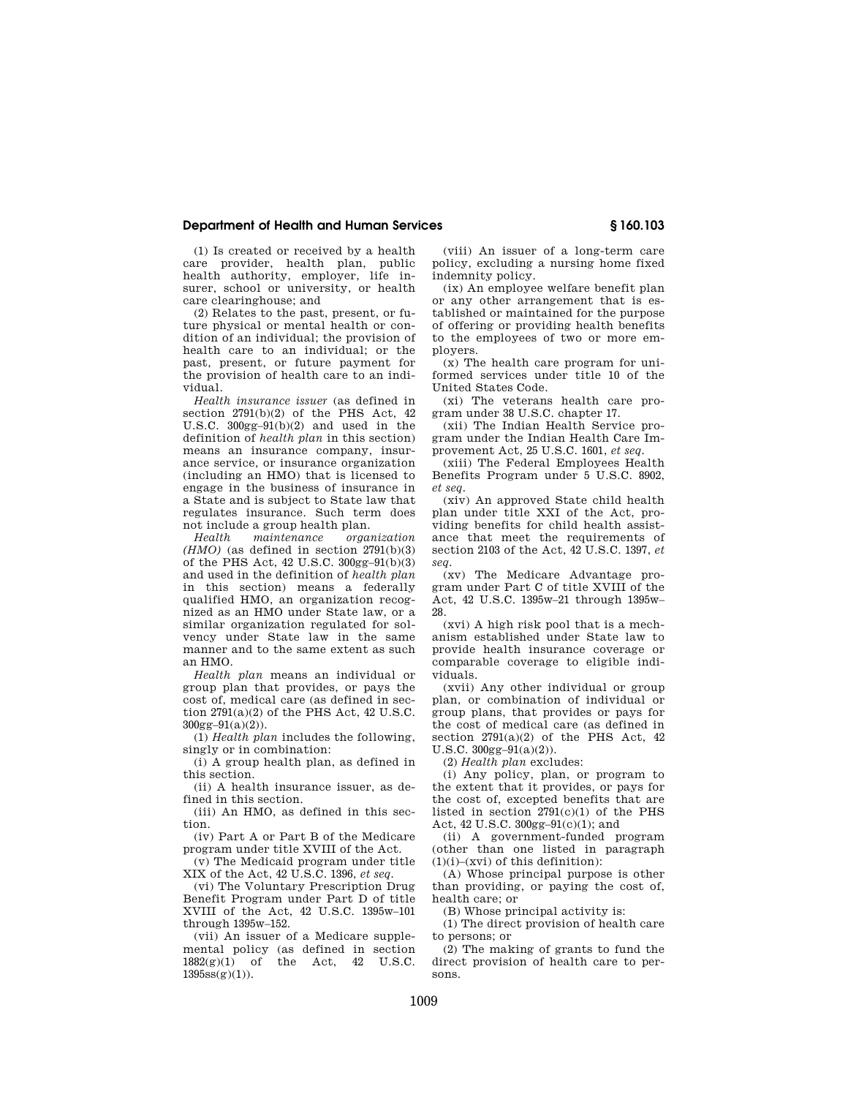# **Department of Health and Human Services § 160.103**

(1) Is created or received by a health care provider, health plan, public health authority, employer, life insurer, school or university, or health care clearinghouse; and

(2) Relates to the past, present, or future physical or mental health or condition of an individual; the provision of health care to an individual; or the past, present, or future payment for the provision of health care to an individual.

*Health insurance issuer* (as defined in section 2791(b)(2) of the PHS Act, 42 U.S.C.  $300$ gg- $91(b)(2)$  and used in the definition of *health plan* in this section) means an insurance company, insurance service, or insurance organization (including an HMO) that is licensed to engage in the business of insurance in a State and is subject to State law that regulates insurance. Such term does not include a group health plan.

*Health maintenance organization*   $(HMO)$  (as defined in section  $2791(b)(3)$ of the PHS Act, 42 U.S.C. 300gg–91(b)(3) and used in the definition of *health plan*  in this section) means a federally qualified HMO, an organization recognized as an HMO under State law, or a similar organization regulated for solvency under State law in the same manner and to the same extent as such an HMO.

*Health plan* means an individual or group plan that provides, or pays the cost of, medical care (as defined in section  $2791(a)(2)$  of the PHS Act,  $42 \text{ U.S.C.}$ 300gg–91(a)(2)).

(1) *Health plan* includes the following, singly or in combination:

(i) A group health plan, as defined in this section.

(ii) A health insurance issuer, as defined in this section.

(iii) An HMO, as defined in this section.

(iv) Part A or Part B of the Medicare program under title XVIII of the Act.

(v) The Medicaid program under title XIX of the Act, 42 U.S.C. 1396, *et seq.* 

(vi) The Voluntary Prescription Drug Benefit Program under Part D of title XVIII of the Act, 42 U.S.C. 1395w–101 through 1395w–152.

(vii) An issuer of a Medicare supplemental policy (as defined in section  $1882(g)(1)$  of the Act, 42 U.S.C.  $1395ss(g)(1)$ ).

(viii) An issuer of a long-term care policy, excluding a nursing home fixed indemnity policy.

(ix) An employee welfare benefit plan or any other arrangement that is established or maintained for the purpose of offering or providing health benefits to the employees of two or more employers.

 $(x)$  The health care program for uniformed services under title 10 of the United States Code.

(xi) The veterans health care program under 38 U.S.C. chapter 17.

(xii) The Indian Health Service program under the Indian Health Care Improvement Act, 25 U.S.C. 1601, *et seq.* 

(xiii) The Federal Employees Health Benefits Program under 5 U.S.C. 8902, *et seq.* 

(xiv) An approved State child health plan under title XXI of the Act, providing benefits for child health assistance that meet the requirements of section 2103 of the Act, 42 U.S.C. 1397, *et seq.* 

(xv) The Medicare Advantage program under Part C of title XVIII of the Act, 42 U.S.C. 1395w–21 through 1395w– 28.

(xvi) A high risk pool that is a mechanism established under State law to provide health insurance coverage or comparable coverage to eligible individuals.

(xvii) Any other individual or group plan, or combination of individual or group plans, that provides or pays for the cost of medical care (as defined in section  $2791(a)(2)$  of the PHS Act, 42  $U.S.C. 300gg-91(a)(2)$ .

(2) *Health plan* excludes:

(i) Any policy, plan, or program to the extent that it provides, or pays for the cost of, excepted benefits that are listed in section 2791(c)(1) of the PHS Act, 42 U.S.C. 300gg–91(c)(1); and

(ii) A government-funded program (other than one listed in paragraph  $(1)(i)$ – $(xvi)$  of this definition):

(A) Whose principal purpose is other than providing, or paying the cost of, health care; or

(B) Whose principal activity is:

(1) The direct provision of health care to persons; or

(2) The making of grants to fund the direct provision of health care to persons.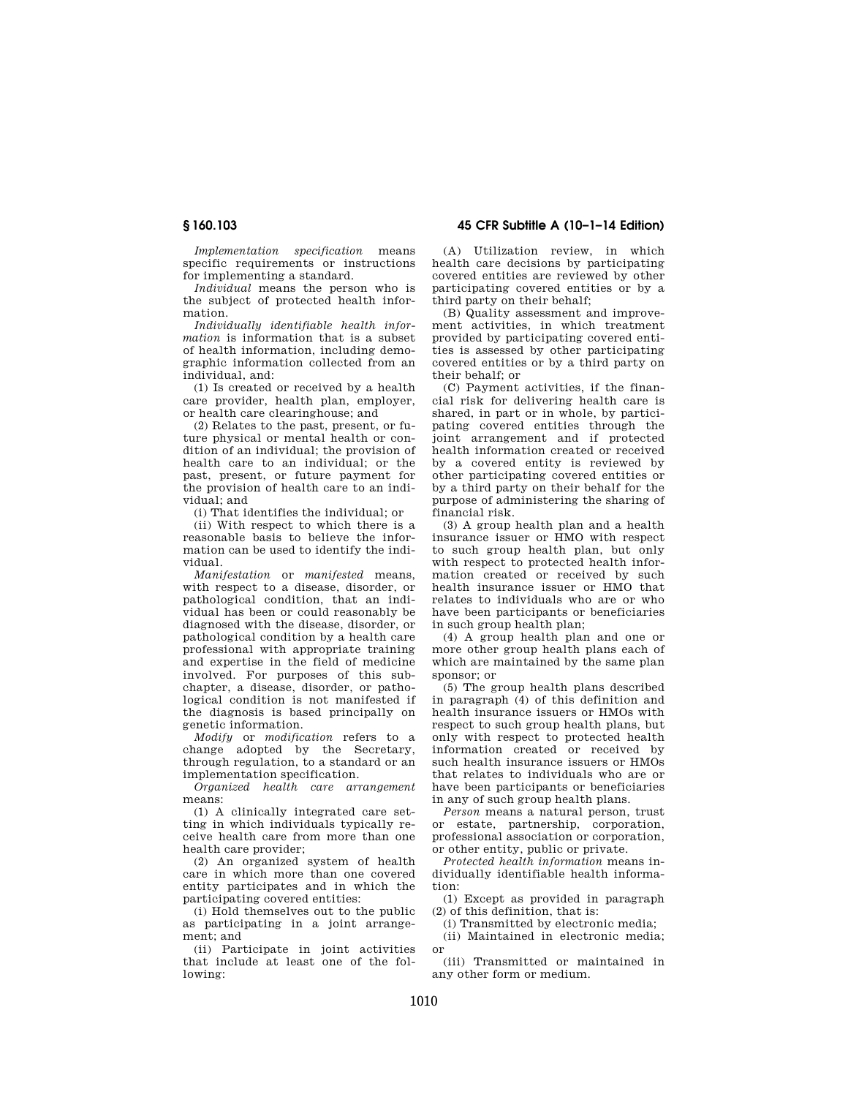*Implementation specification* means specific requirements or instructions for implementing a standard.

*Individual* means the person who is the subject of protected health information.

*Individually identifiable health information* is information that is a subset of health information, including demographic information collected from an individual, and:

(1) Is created or received by a health care provider, health plan, employer, or health care clearinghouse; and

(2) Relates to the past, present, or future physical or mental health or condition of an individual; the provision of health care to an individual; or the past, present, or future payment for the provision of health care to an individual; and

(i) That identifies the individual; or

(ii) With respect to which there is a reasonable basis to believe the information can be used to identify the individual.

*Manifestation* or *manifested* means, with respect to a disease, disorder, or pathological condition, that an individual has been or could reasonably be diagnosed with the disease, disorder, or pathological condition by a health care professional with appropriate training and expertise in the field of medicine involved. For purposes of this subchapter, a disease, disorder, or pathological condition is not manifested if the diagnosis is based principally on genetic information.

*Modify* or *modification* refers to a change adopted by the Secretary, through regulation, to a standard or an implementation specification.

*Organized health care arrangement*  means:

(1) A clinically integrated care setting in which individuals typically receive health care from more than one health care provider;

(2) An organized system of health care in which more than one covered entity participates and in which the participating covered entities:

(i) Hold themselves out to the public as participating in a joint arrangement; and

(ii) Participate in joint activities that include at least one of the following:

**§ 160.103 45 CFR Subtitle A (10–1–14 Edition)** 

(A) Utilization review, in which health care decisions by participating covered entities are reviewed by other participating covered entities or by a third party on their behalf;

(B) Quality assessment and improvement activities, in which treatment provided by participating covered entities is assessed by other participating covered entities or by a third party on their behalf; or

(C) Payment activities, if the financial risk for delivering health care is shared, in part or in whole, by participating covered entities through the joint arrangement and if protected health information created or received by a covered entity is reviewed by other participating covered entities or by a third party on their behalf for the purpose of administering the sharing of financial risk.

(3) A group health plan and a health insurance issuer or HMO with respect to such group health plan, but only with respect to protected health information created or received by such health insurance issuer or HMO that relates to individuals who are or who have been participants or beneficiaries in such group health plan;

(4) A group health plan and one or more other group health plans each of which are maintained by the same plan sponsor; or

(5) The group health plans described in paragraph (4) of this definition and health insurance issuers or HMOs with respect to such group health plans, but only with respect to protected health information created or received by such health insurance issuers or HMOs that relates to individuals who are or have been participants or beneficiaries in any of such group health plans.

*Person* means a natural person, trust or estate, partnership, corporation, professional association or corporation, or other entity, public or private.

*Protected health information* means individually identifiable health information:

(1) Except as provided in paragraph (2) of this definition, that is:

(i) Transmitted by electronic media;

(ii) Maintained in electronic media; or

(iii) Transmitted or maintained in any other form or medium.